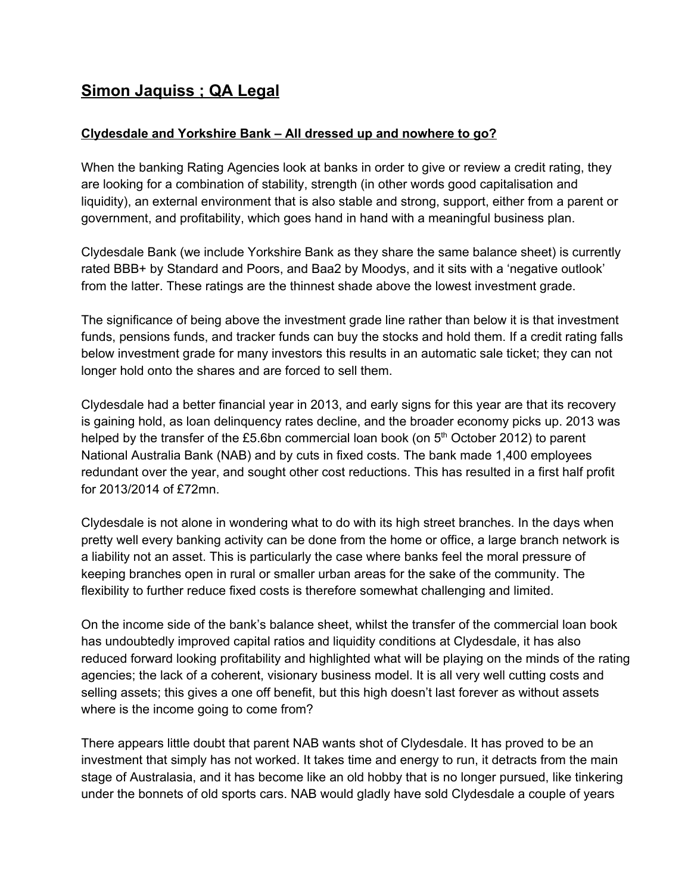## **Simon Jaquiss ; QA Legal**

## **Clydesdale and Yorkshire Bank – All dressed up and nowhere to go?**

When the banking Rating Agencies look at banks in order to give or review a credit rating, they are looking for a combination of stability, strength (in other words good capitalisation and liquidity), an external environment that is also stable and strong, support, either from a parent or government, and profitability, which goes hand in hand with a meaningful business plan.

Clydesdale Bank (we include Yorkshire Bank as they share the same balance sheet) is currently rated BBB+ by Standard and Poors, and Baa2 by Moodys, and it sits with a 'negative outlook' from the latter. These ratings are the thinnest shade above the lowest investment grade.

The significance of being above the investment grade line rather than below it is that investment funds, pensions funds, and tracker funds can buy the stocks and hold them. If a credit rating falls below investment grade for many investors this results in an automatic sale ticket; they can not longer hold onto the shares and are forced to sell them.

Clydesdale had a better financial year in 2013, and early signs for this year are that its recovery is gaining hold, as loan delinquency rates decline, and the broader economy picks up. 2013 was helped by the transfer of the £5.6bn commercial loan book (on 5<sup>th</sup> October 2012) to parent National Australia Bank (NAB) and by cuts in fixed costs. The bank made 1,400 employees redundant over the year, and sought other cost reductions. This has resulted in a first half profit for 2013/2014 of £72mn.

Clydesdale is not alone in wondering what to do with its high street branches. In the days when pretty well every banking activity can be done from the home or office, a large branch network is a liability not an asset. This is particularly the case where banks feel the moral pressure of keeping branches open in rural or smaller urban areas for the sake of the community. The flexibility to further reduce fixed costs is therefore somewhat challenging and limited.

On the income side of the bank's balance sheet, whilst the transfer of the commercial loan book has undoubtedly improved capital ratios and liquidity conditions at Clydesdale, it has also reduced forward looking profitability and highlighted what will be playing on the minds of the rating agencies; the lack of a coherent, visionary business model. It is all very well cutting costs and selling assets; this gives a one off benefit, but this high doesn't last forever as without assets where is the income going to come from?

There appears little doubt that parent NAB wants shot of Clydesdale. It has proved to be an investment that simply has not worked. It takes time and energy to run, it detracts from the main stage of Australasia, and it has become like an old hobby that is no longer pursued, like tinkering under the bonnets of old sports cars. NAB would gladly have sold Clydesdale a couple of years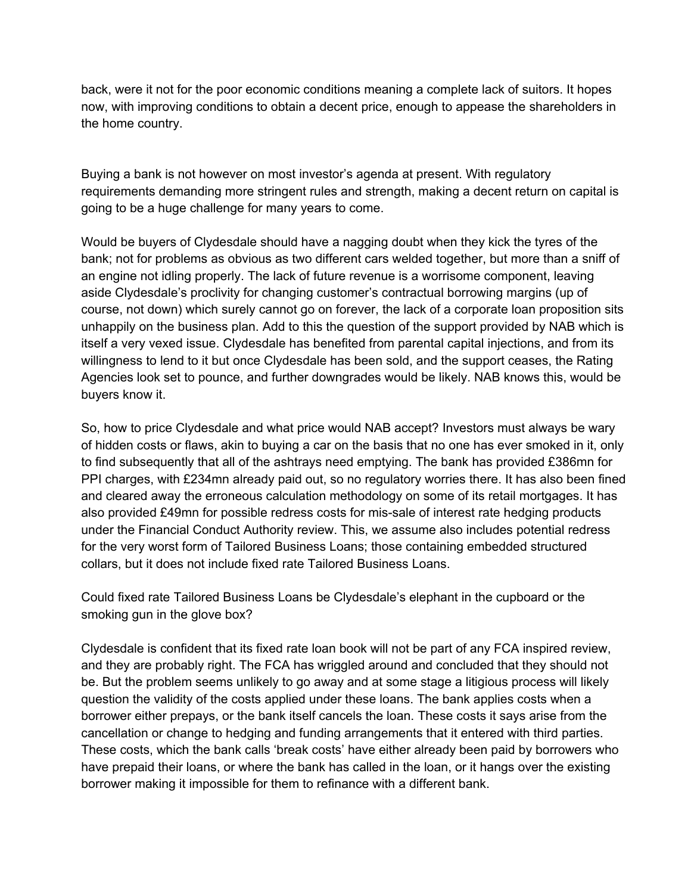back, were it not for the poor economic conditions meaning a complete lack of suitors. It hopes now, with improving conditions to obtain a decent price, enough to appease the shareholders in the home country.

Buying a bank is not however on most investor's agenda at present. With regulatory requirements demanding more stringent rules and strength, making a decent return on capital is going to be a huge challenge for many years to come.

Would be buyers of Clydesdale should have a nagging doubt when they kick the tyres of the bank; not for problems as obvious as two different cars welded together, but more than a sniff of an engine not idling properly. The lack of future revenue is a worrisome component, leaving aside Clydesdale's proclivity for changing customer's contractual borrowing margins (up of course, not down) which surely cannot go on forever, the lack of a corporate loan proposition sits unhappily on the business plan. Add to this the question of the support provided by NAB which is itself a very vexed issue. Clydesdale has benefited from parental capital injections, and from its willingness to lend to it but once Clydesdale has been sold, and the support ceases, the Rating Agencies look set to pounce, and further downgrades would be likely. NAB knows this, would be buyers know it.

So, how to price Clydesdale and what price would NAB accept? Investors must always be wary of hidden costs or flaws, akin to buying a car on the basis that no one has ever smoked in it, only to find subsequently that all of the ashtrays need emptying. The bank has provided £386mn for PPI charges, with £234mn already paid out, so no regulatory worries there. It has also been fined and cleared away the erroneous calculation methodology on some of its retail mortgages. It has also provided £49mn for possible redress costs for mis-sale of interest rate hedging products under the Financial Conduct Authority review. This, we assume also includes potential redress for the very worst form of Tailored Business Loans; those containing embedded structured collars, but it does not include fixed rate Tailored Business Loans.

Could fixed rate Tailored Business Loans be Clydesdale's elephant in the cupboard or the smoking gun in the glove box?

Clydesdale is confident that its fixed rate loan book will not be part of any FCA inspired review, and they are probably right. The FCA has wriggled around and concluded that they should not be. But the problem seems unlikely to go away and at some stage a litigious process will likely question the validity of the costs applied under these loans. The bank applies costs when a borrower either prepays, or the bank itself cancels the loan. These costs it says arise from the cancellation or change to hedging and funding arrangements that it entered with third parties. These costs, which the bank calls 'break costs' have either already been paid by borrowers who have prepaid their loans, or where the bank has called in the loan, or it hangs over the existing borrower making it impossible for them to refinance with a different bank.